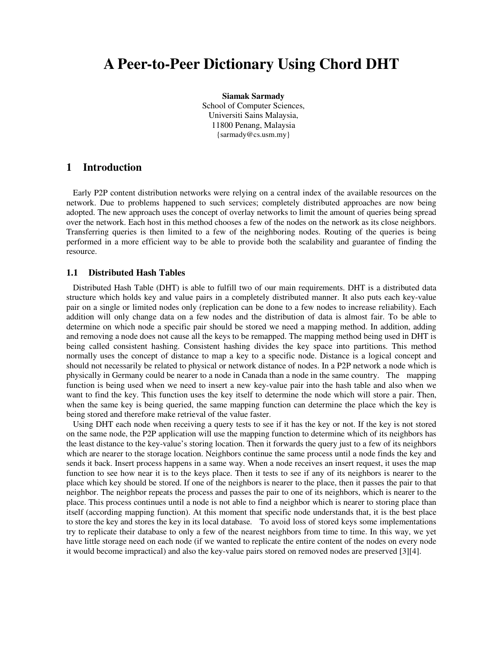# **A Peer-to-Peer Dictionary Using Chord DHT**

**Siamak Sarmady**  School of Computer Sciences, Universiti Sains Malaysia, 11800 Penang, Malaysia {sarmady@cs.usm.my}

## **1 Introduction**

Early P2P content distribution networks were relying on a central index of the available resources on the network. Due to problems happened to such services; completely distributed approaches are now being adopted. The new approach uses the concept of overlay networks to limit the amount of queries being spread over the network. Each host in this method chooses a few of the nodes on the network as its close neighbors. Transferring queries is then limited to a few of the neighboring nodes. Routing of the queries is being performed in a more efficient way to be able to provide both the scalability and guarantee of finding the resource.

#### **1.1 Distributed Hash Tables**

Distributed Hash Table (DHT) is able to fulfill two of our main requirements. DHT is a distributed data structure which holds key and value pairs in a completely distributed manner. It also puts each key-value pair on a single or limited nodes only (replication can be done to a few nodes to increase reliability). Each addition will only change data on a few nodes and the distribution of data is almost fair. To be able to determine on which node a specific pair should be stored we need a mapping method. In addition, adding and removing a node does not cause all the keys to be remapped. The mapping method being used in DHT is being called consistent hashing. Consistent hashing divides the key space into partitions. This method normally uses the concept of distance to map a key to a specific node. Distance is a logical concept and should not necessarily be related to physical or network distance of nodes. In a P2P network a node which is physically in Germany could be nearer to a node in Canada than a node in the same country. The mapping function is being used when we need to insert a new key-value pair into the hash table and also when we want to find the key. This function uses the key itself to determine the node which will store a pair. Then, when the same key is being queried, the same mapping function can determine the place which the key is being stored and therefore make retrieval of the value faster.

Using DHT each node when receiving a query tests to see if it has the key or not. If the key is not stored on the same node, the P2P application will use the mapping function to determine which of its neighbors has the least distance to the key-value's storing location. Then it forwards the query just to a few of its neighbors which are nearer to the storage location. Neighbors continue the same process until a node finds the key and sends it back. Insert process happens in a same way. When a node receives an insert request, it uses the map function to see how near it is to the keys place. Then it tests to see if any of its neighbors is nearer to the place which key should be stored. If one of the neighbors is nearer to the place, then it passes the pair to that neighbor. The neighbor repeats the process and passes the pair to one of its neighbors, which is nearer to the place. This process continues until a node is not able to find a neighbor which is nearer to storing place than itself (according mapping function). At this moment that specific node understands that, it is the best place to store the key and stores the key in its local database. To avoid loss of stored keys some implementations try to replicate their database to only a few of the nearest neighbors from time to time. In this way, we yet have little storage need on each node (if we wanted to replicate the entire content of the nodes on every node it would become impractical) and also the key-value pairs stored on removed nodes are preserved [3][4].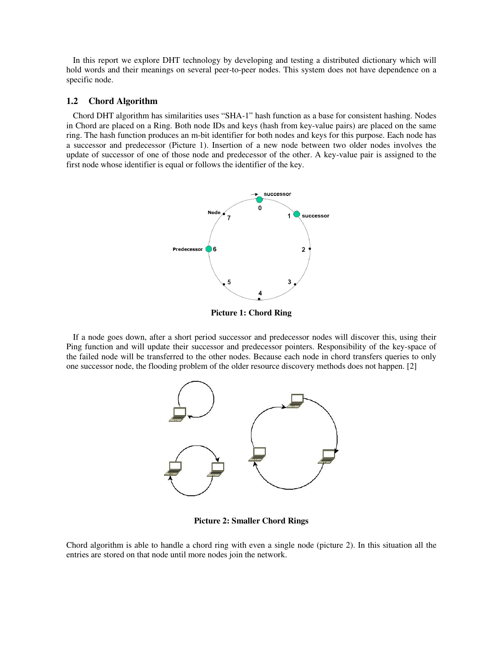In this report we explore DHT technology by developing and testing a distributed dictionary which will hold words and their meanings on several peer-to-peer nodes. This system does not have dependence on a specific node.

#### **1.2 Chord Algorithm**

Chord DHT algorithm has similarities uses "SHA-1" hash function as a base for consistent hashing. Nodes in Chord are placed on a Ring. Both node IDs and keys (hash from key-value pairs) are placed on the same ring. The hash function produces an m-bit identifier for both nodes and keys for this purpose. Each node has a successor and predecessor (Picture 1). Insertion of a new node between two older nodes involves the update of successor of one of those node and predecessor of the other. A key-value pair is assigned to the first node whose identifier is equal or follows the identifier of the key.



**Picture 1: Chord Ring** 

If a node goes down, after a short period successor and predecessor nodes will discover this, using their Ping function and will update their successor and predecessor pointers. Responsibility of the key-space of the failed node will be transferred to the other nodes. Because each node in chord transfers queries to only one successor node, the flooding problem of the older resource discovery methods does not happen. [2]



**Picture 2: Smaller Chord Rings** 

Chord algorithm is able to handle a chord ring with even a single node (picture 2). In this situation all the entries are stored on that node until more nodes join the network.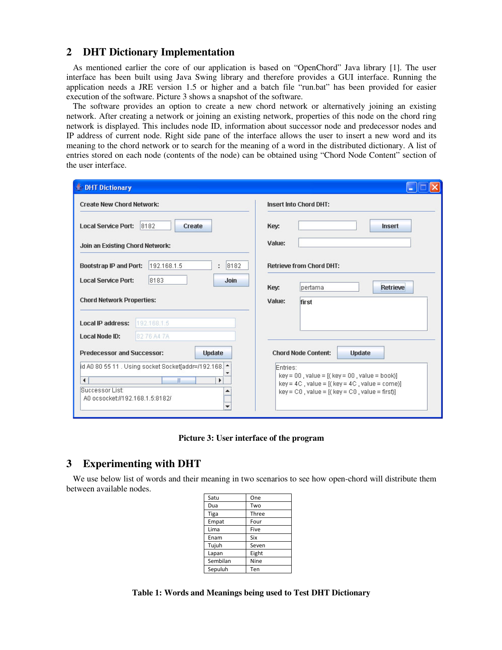## **2 DHT Dictionary Implementation**

As mentioned earlier the core of our application is based on "OpenChord" Java library [1]. The user interface has been built using Java Swing library and therefore provides a GUI interface. Running the application needs a JRE version 1.5 or higher and a batch file "run.bat" has been provided for easier execution of the software. Picture 3 shows a snapshot of the software.

The software provides an option to create a new chord network or alternatively joining an existing network. After creating a network or joining an existing network, properties of this node on the chord ring network is displayed. This includes node ID, information about successor node and predecessor nodes and IP address of current node. Right side pane of the interface allows the user to insert a new word and its meaning to the chord network or to search for the meaning of a word in the distributed dictionary. A list of entries stored on each node (contents of the node) can be obtained using "Chord Node Content" section of the user interface.

| DHT Dictionary                                     |                                                        |               |                               |                                                                                                          |  |  |  |
|----------------------------------------------------|--------------------------------------------------------|---------------|-------------------------------|----------------------------------------------------------------------------------------------------------|--|--|--|
| <b>Create New Chord Network:</b>                   |                                                        |               | <b>Insert Into Chord DHT:</b> |                                                                                                          |  |  |  |
| <b>Local Service Port:</b><br>8182<br>Create       |                                                        |               | Key:                          | <b>Insert</b>                                                                                            |  |  |  |
| Join an Existing Chord Network:                    |                                                        |               | Value:                        |                                                                                                          |  |  |  |
| Bootstrap IP and Port:                             | 192.168.1.5                                            | 8182<br>÷     |                               | <b>Retrieve from Chord DHT:</b>                                                                          |  |  |  |
| <b>Local Service Port:</b>                         | 8183                                                   | Join          | Key:                          | <b>Retrieve</b><br>bertama                                                                               |  |  |  |
| <b>Chord Network Properties:</b>                   |                                                        |               | Value:                        | first                                                                                                    |  |  |  |
| <b>Local IP address:</b>                           | 192.168.1.5                                            |               |                               |                                                                                                          |  |  |  |
| <b>Local Node ID:</b>                              | 8276 A47A                                              |               |                               |                                                                                                          |  |  |  |
| <b>Predecessor and Successor:</b>                  |                                                        | <b>Update</b> |                               | <b>Chord Node Content:</b><br><b>Update</b>                                                              |  |  |  |
|                                                    | id A0 80 55 11 . Using socket Socket[addr=/192.168.  ↑ |               | Entries:                      |                                                                                                          |  |  |  |
| Ш<br>Þ<br>∢                                        |                                                        |               |                               | $key = 00$ , value = $[(key = 00, value = book)]$<br>$key = 4C$ , value = [( $key = 4C$ , value = come)] |  |  |  |
| Successor List:<br>A0 ocsocket://192.168.1.5:8182/ |                                                        |               |                               | $key = CO$ , value = $[(key = CO, value = first)]$                                                       |  |  |  |
|                                                    |                                                        |               |                               |                                                                                                          |  |  |  |

**Picture 3: User interface of the program** 

# **3 Experimenting with DHT**

We use below list of words and their meaning in two scenarios to see how open-chord will distribute them between available nodes.

| One   |  |  |
|-------|--|--|
| Two   |  |  |
| Three |  |  |
| Four  |  |  |
| Five  |  |  |
| Six   |  |  |
| Seven |  |  |
| Eight |  |  |
| Nine  |  |  |
| Ten   |  |  |
|       |  |  |

**Table 1: Words and Meanings being used to Test DHT Dictionary**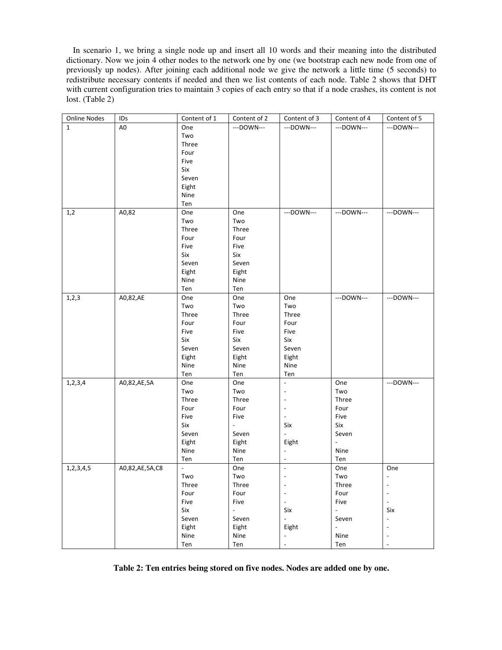In scenario 1, we bring a single node up and insert all 10 words and their meaning into the distributed dictionary. Now we join 4 other nodes to the network one by one (we bootstrap each new node from one of previously up nodes). After joining each additional node we give the network a little time (5 seconds) to redistribute necessary contents if needed and then we list contents of each node. Table 2 shows that DHT with current configuration tries to maintain 3 copies of each entry so that if a node crashes, its content is not lost. (Table 2)

| Online Nodes | IDs            | Content of 1          | Content of 2             | Content of 3                                         | Content of 4                      | Content of 5                             |
|--------------|----------------|-----------------------|--------------------------|------------------------------------------------------|-----------------------------------|------------------------------------------|
| $\mathbf{1}$ | A <sub>0</sub> | One                   | ---DOWN---               | ---DOWN---                                           | ---DOWN---                        | ---DOWN---                               |
|              |                | Two                   |                          |                                                      |                                   |                                          |
|              |                | Three                 |                          |                                                      |                                   |                                          |
|              |                | Four                  |                          |                                                      |                                   |                                          |
|              |                | Five                  |                          |                                                      |                                   |                                          |
|              |                | Six                   |                          |                                                      |                                   |                                          |
|              |                | Seven                 |                          |                                                      |                                   |                                          |
|              |                | Eight                 |                          |                                                      |                                   |                                          |
|              |                | Nine                  |                          |                                                      |                                   |                                          |
|              |                | Ten                   |                          |                                                      |                                   |                                          |
| 1,2          | A0,82          | One                   | One                      | ---DOWN---                                           | ---DOWN---                        | ---DOWN---                               |
|              |                | Two                   | Two                      |                                                      |                                   |                                          |
|              |                | Three                 | Three                    |                                                      |                                   |                                          |
|              |                | Four                  | Four                     |                                                      |                                   |                                          |
|              |                | Five                  | Five                     |                                                      |                                   |                                          |
|              |                | Six                   | Six                      |                                                      |                                   |                                          |
|              |                | Seven                 | Seven                    |                                                      |                                   |                                          |
|              |                | Eight                 | Eight                    |                                                      |                                   |                                          |
|              |                | Nine                  | Nine                     |                                                      |                                   |                                          |
|              |                | Ten                   | Ten                      |                                                      |                                   |                                          |
| 1, 2, 3      | A0,82,AE       | One                   | One                      | One                                                  | ---DOWN---                        | ---DOWN---                               |
|              |                | Two                   | Two                      | Two                                                  |                                   |                                          |
|              |                | Three                 | Three                    | Three                                                |                                   |                                          |
|              |                | Four                  | Four                     | Four                                                 |                                   |                                          |
|              |                | Five                  | Five                     | Five                                                 |                                   |                                          |
|              |                | Six                   | Six                      | Six                                                  |                                   |                                          |
|              |                | Seven                 | Seven                    | Seven                                                |                                   |                                          |
|              |                | Eight                 | Eight                    | Eight                                                |                                   |                                          |
|              |                | Nine                  | Nine                     | Nine                                                 |                                   |                                          |
|              |                | Ten                   | Ten                      | Ten                                                  |                                   |                                          |
|              | A0,82,AE,5A    | One                   | One                      | $\overline{\phantom{a}}$                             | One                               | ---DOWN---                               |
| 1, 2, 3, 4   |                | Two                   | Two                      |                                                      |                                   |                                          |
|              |                | Three                 | Three                    | $\overline{a}$                                       | Two<br>Three                      |                                          |
|              |                | Four                  | Four                     |                                                      | Four                              |                                          |
|              |                | Five                  | Five                     | $\overline{\phantom{a}}$<br>$\overline{\phantom{a}}$ | Five                              |                                          |
|              |                | Six                   |                          | Six                                                  | Six                               |                                          |
|              |                |                       |                          |                                                      |                                   |                                          |
|              |                | Seven                 | Seven                    |                                                      | Seven<br>$\overline{\phantom{a}}$ |                                          |
|              |                | Eight<br>Nine         | Eight<br>Nine            | Eight<br>$\overline{\phantom{a}}$                    | Nine                              |                                          |
|              |                |                       |                          |                                                      |                                   |                                          |
|              |                | Ten<br>$\overline{a}$ | Ten<br>One               | $\frac{1}{2}$                                        | Ten                               |                                          |
| 1,2,3,4,5    | A0,82,AE,5A,C8 | Two                   | Two                      | $\overline{\phantom{a}}$                             | One<br>Two                        | One<br>$\overline{\phantom{a}}$          |
|              |                |                       |                          |                                                      |                                   |                                          |
|              |                | Three                 | Three                    |                                                      | Three                             |                                          |
|              |                | Four<br>Five          | Four<br>Five             | $\overline{\phantom{a}}$                             | Four<br>Five                      | $\overline{\phantom{m}}$<br>$\mathbb{L}$ |
|              |                |                       | $\overline{\phantom{a}}$ |                                                      | $\overline{\phantom{a}}$          |                                          |
|              |                | Six                   |                          | Six                                                  |                                   | Six                                      |
|              |                | Seven                 | Seven                    | $\overline{a}$                                       | Seven                             | $\overline{\phantom{a}}$                 |
|              |                | Eight                 | Eight                    | Eight                                                | $\overline{\phantom{a}}$          |                                          |
|              |                | Nine                  | Nine                     | $\overline{\phantom{a}}$                             | Nine                              | $\overline{a}$                           |
|              |                | Ten                   | Ten                      | $\overline{\phantom{a}}$                             | Ten                               | $\overline{a}$                           |

**Table 2: Ten entries being stored on five nodes. Nodes are added one by one.**